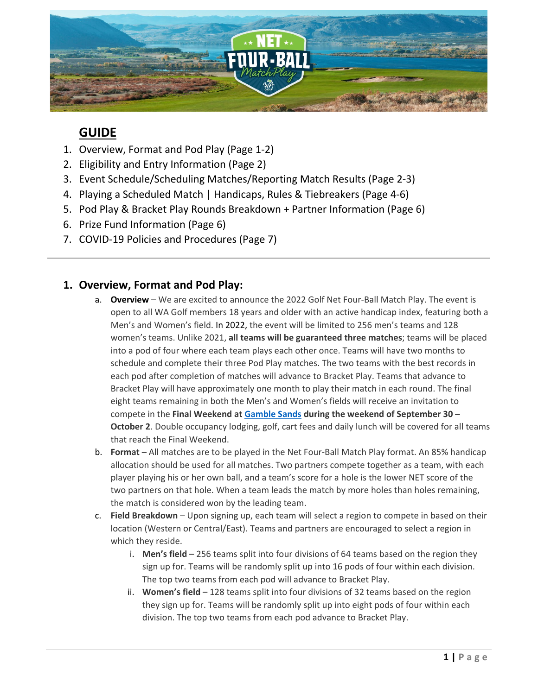

# **GUIDE**

- 1. Overview, Format and Pod Play (Page 1-2)
- 2. Eligibility and Entry Information (Page 2)
- 3. Event Schedule/Scheduling Matches/Reporting Match Results (Page 2-3)
- 4. Playing a Scheduled Match | Handicaps, Rules & Tiebreakers (Page 4-6)
- 5. Pod Play & Bracket Play Rounds Breakdown + Partner Information (Page 6)
- 6. Prize Fund Information (Page 6)
- 7. COVID-19 Policies and Procedures (Page 7)

### **1. Overview, Format and Pod Play:**

- a. **Overview** We are excited to announce the 2022 Golf Net Four-Ball Match Play. The event is open to all WA Golf members 18 years and older with an active handicap index, featuring both a Men's and Women's field. In 2022, the event will be limited to 256 men's teams and 128 women's teams. Unlike 2021, **all teams will be guaranteed three matches**; teams will be placed into a pod of four where each team plays each other once. Teams will have two months to schedule and complete their three Pod Play matches. The two teams with the best records in each pod after completion of matches will advance to Bracket Play. Teams that advance to Bracket Play will have approximately one month to play their match in each round. The final eight teams remaining in both the Men's and Women's fields will receive an invitation to compete in the **Final Weekend at [Gamble Sands](https://gamblesands.com/) during the weekend of September 30 – October 2**. Double occupancy lodging, golf, cart fees and daily lunch will be covered for all teams that reach the Final Weekend.
- b. **Format** All matches are to be played in the Net Four-Ball Match Play format. An 85% handicap allocation should be used for all matches. Two partners compete together as a team, with each player playing his or her own ball, and a team's score for a hole is the lower NET score of the two partners on that hole. When a team leads the match by more holes than holes remaining, the match is considered won by the leading team.
- c. **Field Breakdown** Upon signing up, each team will select a region to compete in based on their location (Western or Central/East). Teams and partners are encouraged to select a region in which they reside.
	- i. **Men's field** 256 teams split into four divisions of 64 teams based on the region they sign up for. Teams will be randomly split up into 16 pods of four within each division. The top two teams from each pod will advance to Bracket Play.
	- ii. **Women's field** 128 teams split into four divisions of 32 teams based on the region they sign up for. Teams will be randomly split up into eight pods of four within each division. The top two teams from each pod advance to Bracket Play.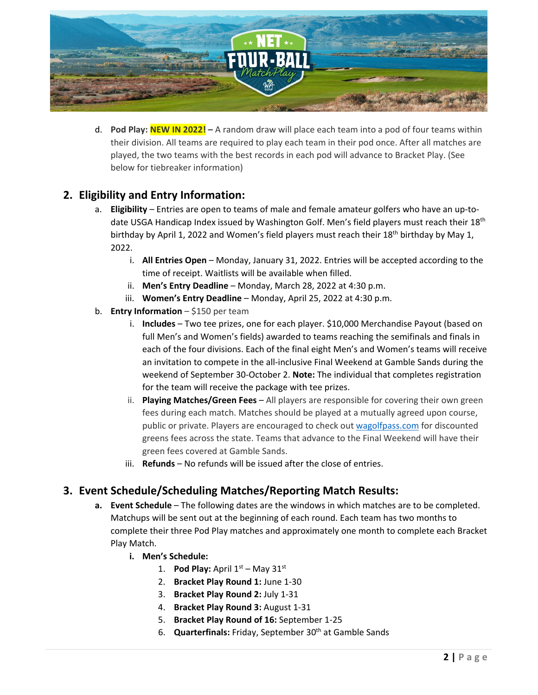

d. **Pod Play: NEW IN 2022! –** A random draw will place each team into a pod of four teams within their division. All teams are required to play each team in their pod once. After all matches are played, the two teams with the best records in each pod will advance to Bracket Play. (See below for tiebreaker information)

## **2. Eligibility and Entry Information:**

- a. **Eligibility** Entries are open to teams of male and female amateur golfers who have an up-todate USGA Handicap Index issued by Washington Golf. Men's field players must reach their 18<sup>th</sup> birthday by April 1, 2022 and Women's field players must reach their 18<sup>th</sup> birthday by May 1, 2022.
	- i. **All Entries Open** Monday, January 31, 2022. Entries will be accepted according to the time of receipt. Waitlists will be available when filled.
	- ii. **Men's Entry Deadline** Monday, March 28, 2022 at 4:30 p.m.
	- iii. **Women's Entry Deadline** Monday, April 25, 2022 at 4:30 p.m.
- b. **Entry Information** \$150 per team
	- i. **Includes** Two tee prizes, one for each player. \$10,000 Merchandise Payout (based on full Men's and Women's fields) awarded to teams reaching the semifinals and finals in each of the four divisions. Each of the final eight Men's and Women's teams will receive an invitation to compete in the all-inclusive Final Weekend at Gamble Sands during the weekend of September 30-October 2. **Note:** The individual that completes registration for the team will receive the package with tee prizes.
	- ii. **Playing Matches/Green Fees** All players are responsible for covering their own green fees during each match. Matches should be played at a mutually agreed upon course, public or private. Players are encouraged to check out [wagolfpass.com](http://wagolfpass.com/) for discounted greens fees across the state. Teams that advance to the Final Weekend will have their green fees covered at Gamble Sands.
	- iii. **Refunds** No refunds will be issued after the close of entries.

### **3. Event Schedule/Scheduling Matches/Reporting Match Results:**

- **a. Event Schedule** The following dates are the windows in which matches are to be completed. Matchups will be sent out at the beginning of each round. Each team has two months to complete their three Pod Play matches and approximately one month to complete each Bracket Play Match.
	- **i. Men's Schedule:**
		- 1. **Pod Play:** April  $1^{st}$  May  $31^{st}$
		- 2. **Bracket Play Round 1:** June 1-30
		- 3. **Bracket Play Round 2:** July 1-31
		- 4. **Bracket Play Round 3:** August 1-31
		- 5. **Bracket Play Round of 16:** September 1-25
		- 6. **Quarterfinals:** Friday, September 30<sup>th</sup> at Gamble Sands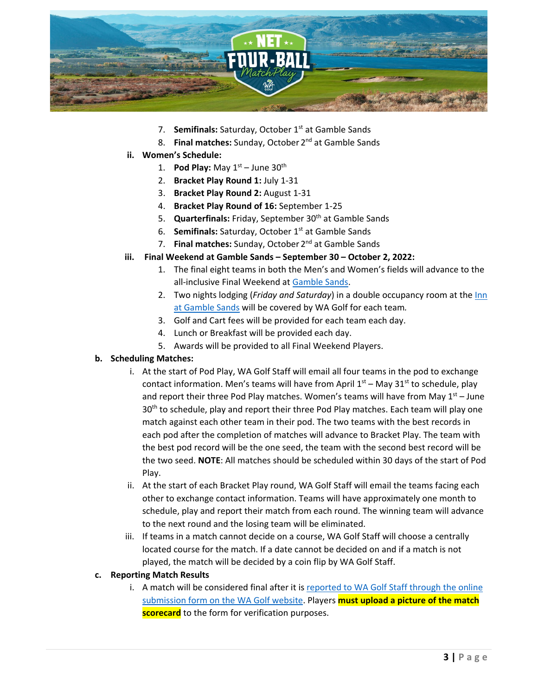

- 7. **Semifinals:** Saturday, October 1<sup>st</sup> at Gamble Sands
- 8. **Final matches:** Sunday, October 2nd at Gamble Sands
- **ii. Women's Schedule:**
	- 1. **Pod Play:** May  $1^{st}$  June  $30^{th}$
	- 2. **Bracket Play Round 1:** July 1-31
	- 3. **Bracket Play Round 2:** August 1-31
	- 4. **Bracket Play Round of 16:** September 1-25
	- 5. **Quarterfinals:** Friday, September 30<sup>th</sup> at Gamble Sands
	- 6. **Semifinals:** Saturday, October 1<sup>st</sup> at Gamble Sands
	- 7. **Final matches:** Sunday, October 2nd at Gamble Sands
- **iii. Final Weekend at Gamble Sands – September 30 – October 2, 2022:**
	- 1. The final eight teams in both the Men's and Women's fields will advance to the all-inclusive Final Weekend at [Gamble Sands.](https://gamblesands.com/)
	- 2. Two nights lodging (*Friday and Saturday*) in a double occupancy room at th[e Inn](https://www.gamblesands.com/lodging)  [at Gamble Sands](https://www.gamblesands.com/lodging) will be covered by WA Golf for each team*.*
	- 3. Golf and Cart fees will be provided for each team each day.
	- 4. Lunch or Breakfast will be provided each day.
	- 5. Awards will be provided to all Final Weekend Players.

#### **b. Scheduling Matches:**

- i. At the start of Pod Play, WA Golf Staff will email all four teams in the pod to exchange contact information. Men's teams will have from April  $1<sup>st</sup>$  – May 31<sup>st</sup> to schedule, play and report their three Pod Play matches. Women's teams will have from May  $1<sup>st</sup> - June$ 30<sup>th</sup> to schedule, play and report their three Pod Play matches. Each team will play one match against each other team in their pod. The two teams with the best records in each pod after the completion of matches will advance to Bracket Play. The team with the best pod record will be the one seed, the team with the second best record will be the two seed. **NOTE**: All matches should be scheduled within 30 days of the start of Pod Play.
- ii. At the start of each Bracket Play round, WA Golf Staff will email the teams facing each other to exchange contact information. Teams will have approximately one month to schedule, play and report their match from each round. The winning team will advance to the next round and the losing team will be eliminated.
- iii. If teams in a match cannot decide on a course, WA Golf Staff will choose a centrally located course for the match. If a date cannot be decided on and if a match is not played, the match will be decided by a coin flip by WA Golf Staff.

#### **c. Reporting Match Results**

i. A match will be considered final after it is [reported to WA Golf Staff](https://wagolf.org/play/net-four-ball-match-play/submit-match-results/) through the online [submission form on the WA Golf website.](https://wagolf.org/play/net-four-ball-match-play/submit-match-results/) Players **must upload a picture of the match scorecard** to the form for verification purposes.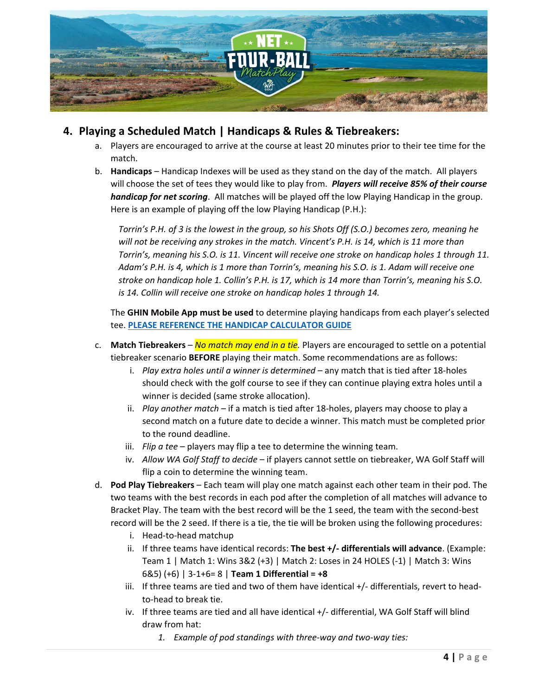

### **4. Playing a Scheduled Match | Handicaps & Rules & Tiebreakers:**

- a. Players are encouraged to arrive at the course at least 20 minutes prior to their tee time for the match.
- b. **Handicaps**  Handicap Indexes will be used as they stand on the day of the match. All players will choose the set of tees they would like to play from. *Players will receive 85% of their course handicap for net scoring*. All matches will be played off the low Playing Handicap in the group. Here is an example of playing off the low Playing Handicap (P.H.):

*Torrin's P.H. of 3 is the lowest in the group, so his Shots Off (S.O.) becomes zero, meaning he will not be receiving any strokes in the match. Vincent's P.H. is 14, which is 11 more than Torrin's, meaning his S.O. is 11. Vincent will receive one stroke on handicap holes 1 through 11. Adam's P.H. is 4, which is 1 more than Torrin's, meaning his S.O. is 1. Adam will receive one stroke on handicap hole 1. Collin's P.H. is 17, which is 14 more than Torrin's, meaning his S.O. is 14. Collin will receive one stroke on handicap holes 1 through 14.*

The **GHIN Mobile App must be used** to determine playing handicaps from each player's selected tee. **[PLEASE REFERENCE THE HANDICAP CALCULATOR GUIDE](https://wagolf.org/wp-content/uploads/2022/01/WA-Golf-N4B-Handicap-Calculator-Guide.pdf)**

- c. **Match Tiebreakers**  *No match may end in a tie.* Players are encouraged to settle on a potential tiebreaker scenario **BEFORE** playing their match. Some recommendations are as follows:
	- i. *Play extra holes until a winner is determined* any match that is tied after 18-holes should check with the golf course to see if they can continue playing extra holes until a winner is decided (same stroke allocation).
	- ii. *Play another match* if a match is tied after 18-holes, players may choose to play a second match on a future date to decide a winner. This match must be completed prior to the round deadline.
	- iii. *Flip a tee* players may flip a tee to determine the winning team.
	- iv. *Allow WA Golf Staff to decide* if players cannot settle on tiebreaker, WA Golf Staff will flip a coin to determine the winning team.
- d. **Pod Play Tiebreakers** Each team will play one match against each other team in their pod. The two teams with the best records in each pod after the completion of all matches will advance to Bracket Play. The team with the best record will be the 1 seed, the team with the second-best record will be the 2 seed. If there is a tie, the tie will be broken using the following procedures:
	- i. Head-to-head matchup
	- ii. If three teams have identical records: **The best +/- differentials will advance**. (Example: Team 1 | Match 1: Wins 3&2 (+3) | Match 2: Loses in 24 HOLES (-1) | Match 3: Wins 6&5) (+6) | 3-1+6= 8 | **Team 1 Differential = +8**
	- iii. If three teams are tied and two of them have identical  $+/-$  differentials, revert to headto-head to break tie.
	- iv. If three teams are tied and all have identical +/- differential, WA Golf Staff will blind draw from hat:
		- *1. Example of pod standings with three-way and two-way ties:*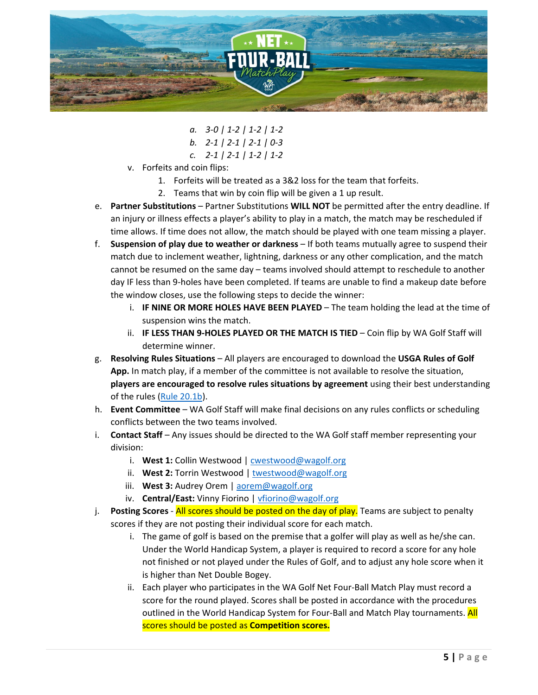

- *a. 3-0 | 1-2 | 1-2 | 1-2 b. 2-1 | 2-1 | 2-1 | 0-3 c. 2-1 | 2-1 | 1-2 | 1-2*
- v. Forfeits and coin flips:
	- 1. Forfeits will be treated as a 3&2 loss for the team that forfeits.
	- 2. Teams that win by coin flip will be given a 1 up result.
- e. **Partner Substitutions** Partner Substitutions **WILL NOT** be permitted after the entry deadline. If an injury or illness effects a player's ability to play in a match, the match may be rescheduled if time allows. If time does not allow, the match should be played with one team missing a player.
- f. **Suspension of play due to weather or darkness** If both teams mutually agree to suspend their match due to inclement weather, lightning, darkness or any other complication, and the match cannot be resumed on the same day – teams involved should attempt to reschedule to another day IF less than 9-holes have been completed. If teams are unable to find a makeup date before the window closes, use the following steps to decide the winner:
	- i. **IF NINE OR MORE HOLES HAVE BEEN PLAYED** The team holding the lead at the time of suspension wins the match.
	- **II. IF LESS THAN 9-HOLES PLAYED OR THE MATCH IS TIED Coin flip by WA Golf Staff will** determine winner.
- g. **Resolving Rules Situations** All players are encouraged to download the **USGA Rules of Golf App.** In match play, if a member of the committee is not available to resolve the situation, **players are encouraged to resolve rules situations by agreement** using their best understanding of the rules [\(Rule 20.1b\)](https://www.usga.org/content/usga/home-page/rules/rules-2019/rules-of-golf/rule-20.html).
- h. **Event Committee** WA Golf Staff will make final decisions on any rules conflicts or scheduling conflicts between the two teams involved.
- i. **Contact Staff** Any issues should be directed to the WA Golf staff member representing your division:
	- i. **West 1:** Collin Westwood | [cwestwood@wagolf.org](mailto:cwestwood@wagolf.org)
	- ii. **West 2:** Torrin Westwood | twestwood@wagolf.org
	- iii. **West 3:** Audrey Orem | [aorem@wagolf.org](mailto:aorem@wagolf.org)
	- iv. **Central/East:** Vinny Fiorino | vfiorino@wagolf.org
- j. **Posting Scores** All scores should be posted on the day of play. Teams are subject to penalty scores if they are not posting their individual score for each match.
	- i. The game of golf is based on the premise that a golfer will play as well as he/she can. Under the World Handicap System, a player is required to record a score for any hole not finished or not played under the Rules of Golf, and to adjust any hole score when it is higher than Net Double Bogey.
	- ii. Each player who participates in the WA Golf Net Four-Ball Match Play must record a score for the round played. Scores shall be posted in accordance with the procedures outlined in the World Handicap System for Four-Ball and Match Play tournaments. All scores should be posted as **Competition scores.**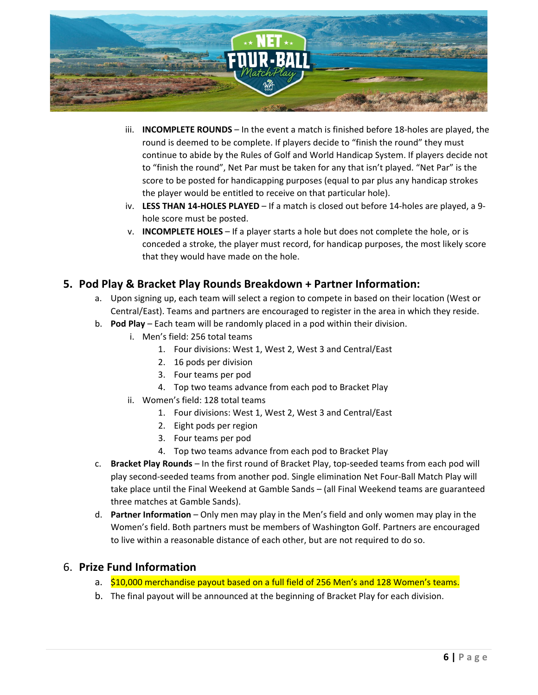

- iii. **INCOMPLETE ROUNDS** In the event a match is finished before 18-holes are played, the round is deemed to be complete. If players decide to "finish the round" they must continue to abide by the Rules of Golf and World Handicap System. If players decide not to "finish the round", Net Par must be taken for any that isn't played. "Net Par" is the score to be posted for handicapping purposes (equal to par plus any handicap strokes the player would be entitled to receive on that particular hole).
- iv. **LESS THAN 14-HOLES PLAYED** If a match is closed out before 14-holes are played, a 9 hole score must be posted.
- v. **INCOMPLETE HOLES** If a player starts a hole but does not complete the hole, or is conceded a stroke, the player must record, for handicap purposes, the most likely score that they would have made on the hole.

### **5. Pod Play & Bracket Play Rounds Breakdown + Partner Information:**

- a. Upon signing up, each team will select a region to compete in based on their location (West or Central/East). Teams and partners are encouraged to register in the area in which they reside.
- b. **Pod Play** Each team will be randomly placed in a pod within their division.
	- i. Men's field: 256 total teams
		- 1. Four divisions: West 1, West 2, West 3 and Central/East
		- 2. 16 pods per division
		- 3. Four teams per pod
		- 4. Top two teams advance from each pod to Bracket Play
	- ii. Women's field: 128 total teams
		- 1. Four divisions: West 1, West 2, West 3 and Central/East
		- 2. Eight pods per region
		- 3. Four teams per pod
		- 4. Top two teams advance from each pod to Bracket Play
- c. **Bracket Play Rounds** In the first round of Bracket Play, top-seeded teams from each pod will play second-seeded teams from another pod. Single elimination Net Four-Ball Match Play will take place until the Final Weekend at Gamble Sands – (all Final Weekend teams are guaranteed three matches at Gamble Sands).
- d. **Partner Information** Only men may play in the Men's field and only women may play in the Women's field. Both partners must be members of Washington Golf. Partners are encouraged to live within a reasonable distance of each other, but are not required to do so.

### 6. **Prize Fund Information**

- a. \$10,000 merchandise payout based on a full field of 256 Men's and 128 Women's teams.
- b. The final payout will be announced at the beginning of Bracket Play for each division.